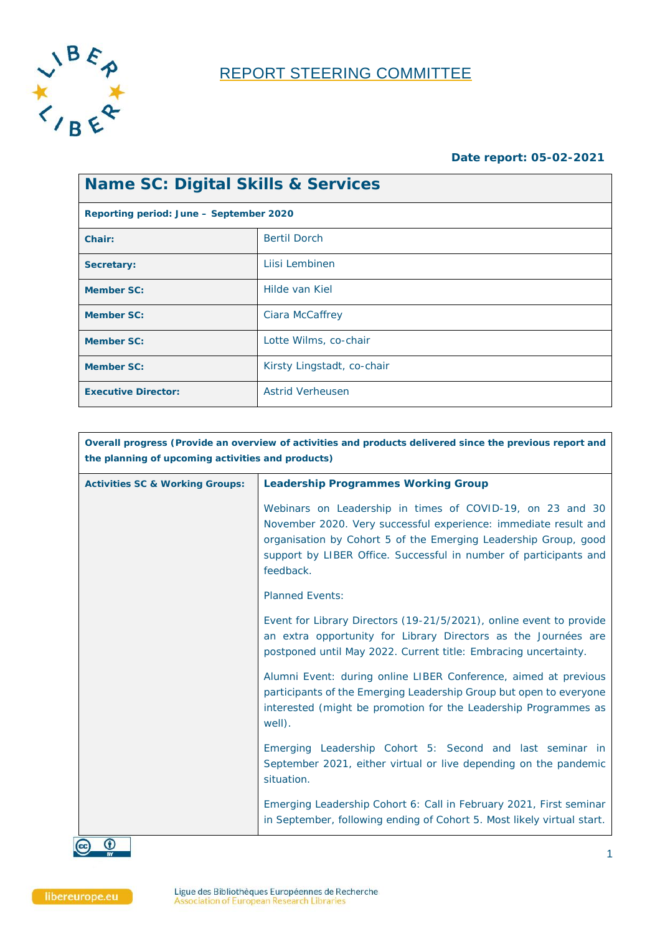

## REPORT STEERING COMMITTEE

#### **Date report: 05-02-2021**

| <b>Name SC: Digital Skills &amp; Services</b> |                                         |  |  |
|-----------------------------------------------|-----------------------------------------|--|--|
|                                               | Reporting period: June – September 2020 |  |  |
| Chair:                                        | <b>Bertil Dorch</b>                     |  |  |
| Secretary:                                    | Liisi Lembinen                          |  |  |
| <b>Member SC:</b>                             | Hilde van Kiel                          |  |  |
| <b>Member SC:</b>                             | Ciara McCaffrey                         |  |  |
| <b>Member SC:</b>                             | Lotte Wilms, co-chair                   |  |  |
| <b>Member SC:</b>                             | Kirsty Lingstadt, co-chair              |  |  |
| <b>Executive Director:</b>                    | <b>Astrid Verheusen</b>                 |  |  |

| Overall progress (Provide an overview of activities and products delivered since the previous report and<br>the planning of upcoming activities and products) |                                                                                                                                                                                                                                                                                   |  |
|---------------------------------------------------------------------------------------------------------------------------------------------------------------|-----------------------------------------------------------------------------------------------------------------------------------------------------------------------------------------------------------------------------------------------------------------------------------|--|
| <b>Activities SC &amp; Working Groups:</b>                                                                                                                    | <b>Leadership Programmes Working Group</b>                                                                                                                                                                                                                                        |  |
|                                                                                                                                                               | Webinars on Leadership in times of COVID-19, on 23 and 30<br>November 2020. Very successful experience: immediate result and<br>organisation by Cohort 5 of the Emerging Leadership Group, good<br>support by LIBER Office. Successful in number of participants and<br>feedback. |  |
|                                                                                                                                                               | <b>Planned Events:</b>                                                                                                                                                                                                                                                            |  |
|                                                                                                                                                               | Event for Library Directors (19-21/5/2021), online event to provide<br>an extra opportunity for Library Directors as the Journées are<br>postponed until May 2022. Current title: Embracing uncertainty.                                                                          |  |
|                                                                                                                                                               | Alumni Event: during online LIBER Conference, aimed at previous<br>participants of the Emerging Leadership Group but open to everyone<br>interested (might be promotion for the Leadership Programmes as<br>well).                                                                |  |
|                                                                                                                                                               | Emerging Leadership Cohort 5: Second and last seminar in<br>September 2021, either virtual or live depending on the pandemic<br>situation.                                                                                                                                        |  |
|                                                                                                                                                               | Emerging Leadership Cohort 6: Call in February 2021, First seminar<br>in September, following ending of Cohort 5. Most likely virtual start.                                                                                                                                      |  |

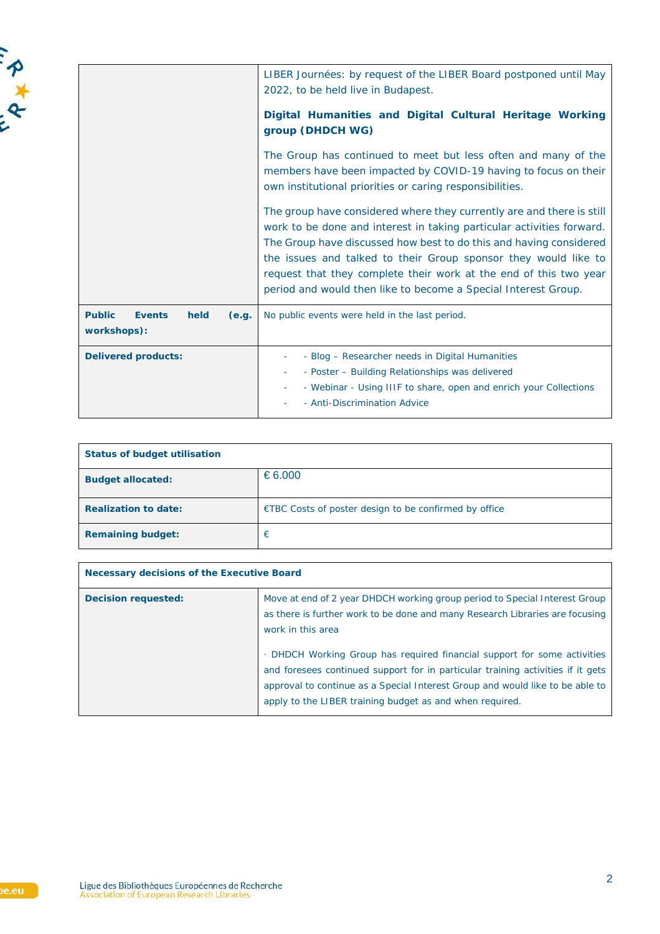|                                                                | LIBER Journées: by request of the LIBER Board postponed until May<br>2022, to be held live in Budapest.<br>Digital Humanities and Digital Cultural Heritage Working<br>group (DHDCH WG)                                                                                                                                                                                                                                        |
|----------------------------------------------------------------|--------------------------------------------------------------------------------------------------------------------------------------------------------------------------------------------------------------------------------------------------------------------------------------------------------------------------------------------------------------------------------------------------------------------------------|
|                                                                | The Group has continued to meet but less often and many of the<br>members have been impacted by COVID-19 having to focus on their<br>own institutional priorities or caring responsibilities.                                                                                                                                                                                                                                  |
|                                                                | The group have considered where they currently are and there is still<br>work to be done and interest in taking particular activities forward.<br>The Group have discussed how best to do this and having considered<br>the issues and talked to their Group sponsor they would like to<br>request that they complete their work at the end of this two year<br>period and would then like to become a Special Interest Group. |
| <b>Public</b><br><b>Events</b><br>held<br>(e.g.<br>workshops): | No public events were held in the last period.                                                                                                                                                                                                                                                                                                                                                                                 |
| <b>Delivered products:</b>                                     | - Blog - Researcher needs in Digital Humanities<br>- Poster - Building Relationships was delivered<br>$\overline{\phantom{a}}$<br>- Webinar - Using IIIF to share, open and enrich your Collections<br>- Anti-Discrimination Advice                                                                                                                                                                                            |

| <b>Status of budget utilisation</b> |                                                       |  |
|-------------------------------------|-------------------------------------------------------|--|
| <b>Budget allocated:</b>            | €6.000                                                |  |
| <b>Realization to date:</b>         | €TBC Costs of poster design to be confirmed by office |  |
| <b>Remaining budget:</b>            | €                                                     |  |

| Necessary decisions of the Executive Board |                                                                                                                                                                                                                                                                                                          |  |
|--------------------------------------------|----------------------------------------------------------------------------------------------------------------------------------------------------------------------------------------------------------------------------------------------------------------------------------------------------------|--|
| <b>Decision requested:</b>                 | Move at end of 2 year DHDCH working group period to Special Interest Group<br>as there is further work to be done and many Research Libraries are focusing<br>work in this area                                                                                                                          |  |
|                                            | . DHDCH Working Group has required financial support for some activities<br>and foresees continued support for in particular training activities if it gets<br>approval to continue as a Special Interest Group and would like to be able to<br>apply to the LIBER training budget as and when required. |  |

A + B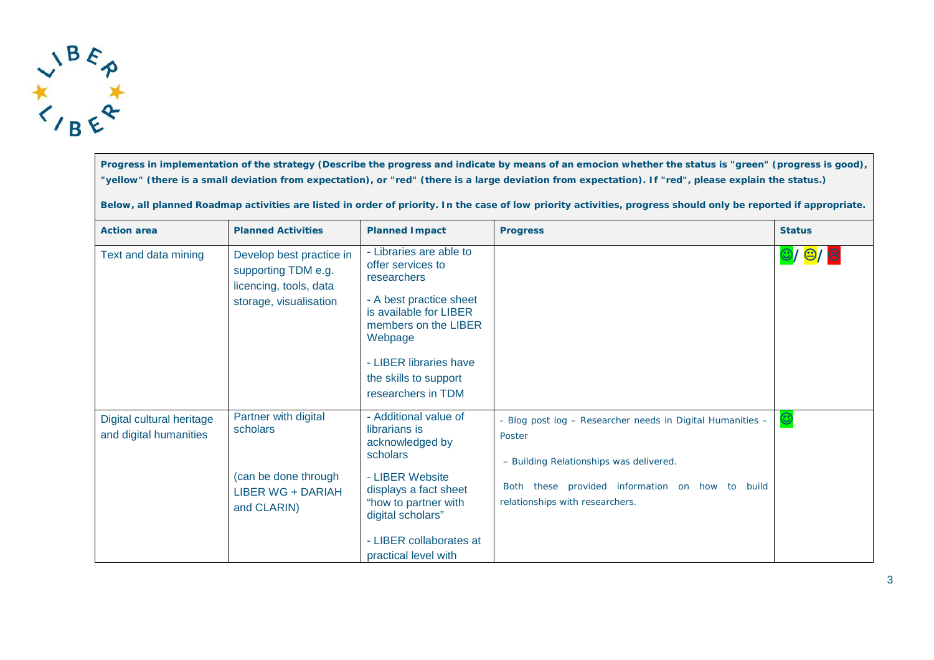

**Progress in implementation of the strategy (Describe the progress and indicate by means of an emocion whether the status is "green" (progress is good), "yellow" (there is a small deviation from expectation), or "red" (there is a large deviation from expectation). If "red", please explain the status.)**

**Below, all planned Roadmap activities are listed in order of priority. In the case of low priority activities, progress should only be reported if appropriate.**

| <b>Action area</b>                                  | <b>Planned Activities</b>                                                                           | <b>Planned Impact</b>                                                                                                                                                                                                        | <b>Progress</b>                                                                                                                                                                                       | <b>Status</b> |
|-----------------------------------------------------|-----------------------------------------------------------------------------------------------------|------------------------------------------------------------------------------------------------------------------------------------------------------------------------------------------------------------------------------|-------------------------------------------------------------------------------------------------------------------------------------------------------------------------------------------------------|---------------|
| Text and data mining                                | Develop best practice in<br>supporting TDM e.g.<br>licencing, tools, data<br>storage, visualisation | - Libraries are able to<br>offer services to<br>researchers<br>- A best practice sheet<br>is available for LIBER<br>members on the LIBER<br>Webpage<br>- LIBER libraries have<br>the skills to support<br>researchers in TDM |                                                                                                                                                                                                       | 0/0/8         |
| Digital cultural heritage<br>and digital humanities | Partner with digital<br>scholars<br>(can be done through<br><b>LIBER WG + DARIAH</b><br>and CLARIN) | - Additional value of<br>librarians is<br>acknowledged by<br>scholars<br>- LIBER Website<br>displays a fact sheet<br>"how to partner with<br>digital scholars"<br>- LIBER collaborates at<br>practical level with            | - Blog post log - Researcher needs in Digital Humanities -<br>Poster<br>- Building Relationships was delivered.<br>Both these provided information on how to build<br>relationships with researchers. |               |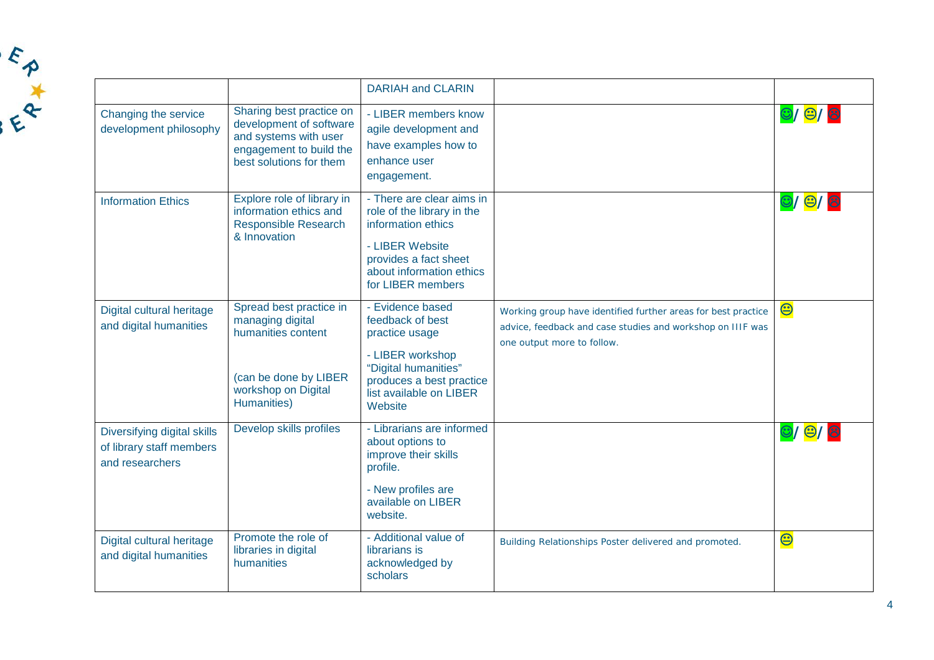|                                                                            |                                                                                                                                    | <b>DARIAH and CLARIN</b>                                                                                                                                                   |                                                                                                                                                           |                                      |
|----------------------------------------------------------------------------|------------------------------------------------------------------------------------------------------------------------------------|----------------------------------------------------------------------------------------------------------------------------------------------------------------------------|-----------------------------------------------------------------------------------------------------------------------------------------------------------|--------------------------------------|
| Changing the service<br>development philosophy                             | Sharing best practice on<br>development of software<br>and systems with user<br>engagement to build the<br>best solutions for them | - LIBER members know<br>agile development and<br>have examples how to<br>enhance user<br>engagement.                                                                       |                                                                                                                                                           | $\bigcirc$ / $\bigcirc$ / $\bigcirc$ |
| <b>Information Ethics</b>                                                  | Explore role of library in<br>information ethics and<br><b>Responsible Research</b><br>& Innovation                                | - There are clear aims in<br>role of the library in the<br>information ethics<br>- LIBER Website<br>provides a fact sheet<br>about information ethics<br>for LIBER members |                                                                                                                                                           | $\bigcirc$ / $\bigcirc$ / $\bigcirc$ |
| Digital cultural heritage<br>and digital humanities                        | Spread best practice in<br>managing digital<br>humanities content<br>(can be done by LIBER<br>workshop on Digital<br>Humanities)   | - Evidence based<br>feedback of best<br>practice usage<br>- LIBER workshop<br>"Digital humanities"<br>produces a best practice<br>list available on LIBER<br>Website       | Working group have identified further areas for best practice<br>advice, feedback and case studies and workshop on IIIF was<br>one output more to follow. | $\bm{\Theta}$                        |
| Diversifying digital skills<br>of library staff members<br>and researchers | Develop skills profiles                                                                                                            | - Librarians are informed<br>about options to<br>improve their skills<br>profile.<br>- New profiles are<br>available on LIBER<br>website.                                  |                                                                                                                                                           | $\bigcirc$ / $\bigcirc$ / $\bigcirc$ |
| Digital cultural heritage<br>and digital humanities                        | Promote the role of<br>libraries in digital<br>humanities                                                                          | - Additional value of<br>librarians is<br>acknowledged by<br>scholars                                                                                                      | Building Relationships Poster delivered and promoted.                                                                                                     | $\bm{\Theta}$                        |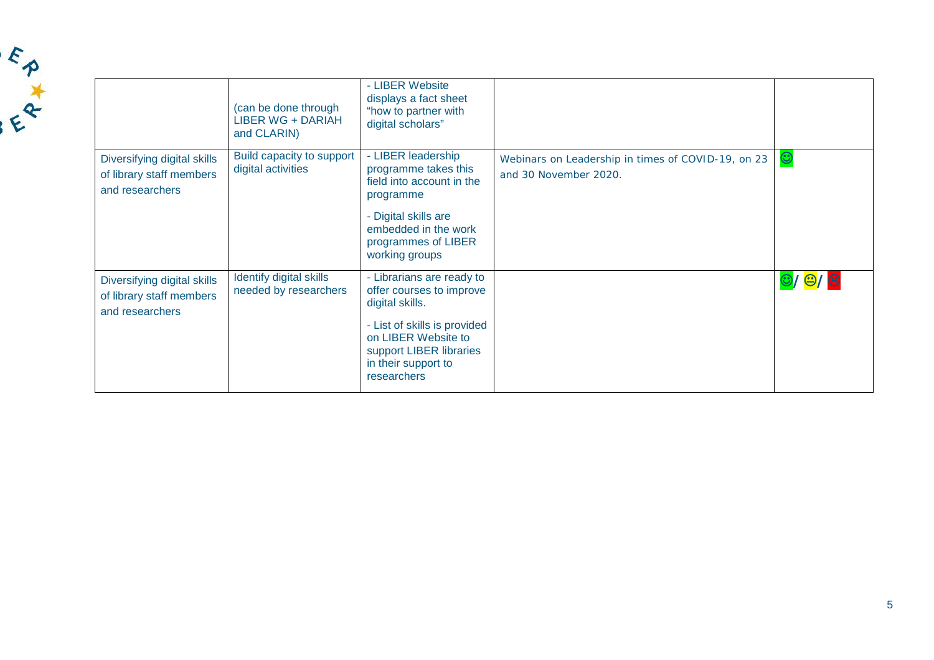|                                                                            | (can be done through<br><b>LIBER WG + DARIAH</b><br>and CLARIN) | - LIBER Website<br>displays a fact sheet<br>"how to partner with<br>digital scholars"                                                                                                            |                                                                             |                                      |
|----------------------------------------------------------------------------|-----------------------------------------------------------------|--------------------------------------------------------------------------------------------------------------------------------------------------------------------------------------------------|-----------------------------------------------------------------------------|--------------------------------------|
| Diversifying digital skills<br>of library staff members<br>and researchers | Build capacity to support<br>digital activities                 | - LIBER leadership<br>programme takes this<br>field into account in the<br>programme<br>- Digital skills are<br>embedded in the work<br>programmes of LIBER<br>working groups                    | Webinars on Leadership in times of COVID-19, on 23<br>and 30 November 2020. | $\mathbf{\large \circ }$             |
| Diversifying digital skills<br>of library staff members<br>and researchers | Identify digital skills<br>needed by researchers                | - Librarians are ready to<br>offer courses to improve<br>digital skills.<br>- List of skills is provided<br>on LIBER Website to<br>support LIBER libraries<br>in their support to<br>researchers |                                                                             | $\bigcirc$ / $\bigcirc$ / $\bigcirc$ |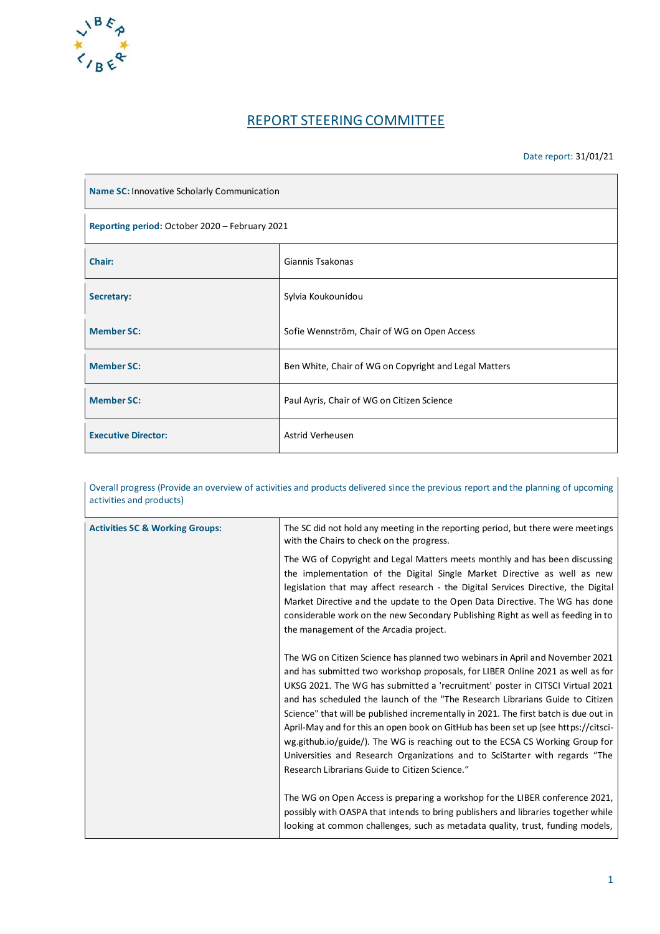

### REPORT STEERING COMMITTEE

#### Date report: 31/01/21

| Name SC: Innovative Scholarly Communication    |                                                       |  |
|------------------------------------------------|-------------------------------------------------------|--|
| Reporting period: October 2020 - February 2021 |                                                       |  |
| Chair:                                         | Giannis Tsakonas                                      |  |
| Secretary:                                     | Sylvia Koukounidou                                    |  |
| <b>Member SC:</b>                              | Sofie Wennström, Chair of WG on Open Access           |  |
| <b>Member SC:</b>                              | Ben White, Chair of WG on Copyright and Legal Matters |  |
| <b>Member SC:</b>                              | Paul Ayris, Chair of WG on Citizen Science            |  |
| <b>Executive Director:</b>                     | Astrid Verheusen                                      |  |

| Overall progress (Provide an overview of activities and products delivered since the previous report and the planning of upcoming<br>activities and products) |                                                                                                                                                                                                                                                                                                                                                                                                                                                                                                                                                                                                                                                                                                                                   |  |
|---------------------------------------------------------------------------------------------------------------------------------------------------------------|-----------------------------------------------------------------------------------------------------------------------------------------------------------------------------------------------------------------------------------------------------------------------------------------------------------------------------------------------------------------------------------------------------------------------------------------------------------------------------------------------------------------------------------------------------------------------------------------------------------------------------------------------------------------------------------------------------------------------------------|--|
| <b>Activities SC &amp; Working Groups:</b>                                                                                                                    | The SC did not hold any meeting in the reporting period, but there were meetings<br>with the Chairs to check on the progress.                                                                                                                                                                                                                                                                                                                                                                                                                                                                                                                                                                                                     |  |
|                                                                                                                                                               | The WG of Copyright and Legal Matters meets monthly and has been discussing<br>the implementation of the Digital Single Market Directive as well as new<br>legislation that may affect research - the Digital Services Directive, the Digital<br>Market Directive and the update to the Open Data Directive. The WG has done<br>considerable work on the new Secondary Publishing Right as well as feeding in to<br>the management of the Arcadia project.                                                                                                                                                                                                                                                                        |  |
|                                                                                                                                                               | The WG on Citizen Science has planned two webinars in April and November 2021<br>and has submitted two workshop proposals, for LIBER Online 2021 as well as for<br>UKSG 2021. The WG has submitted a 'recruitment' poster in CITSCI Virtual 2021<br>and has scheduled the launch of the "The Research Librarians Guide to Citizen<br>Science" that will be published incrementally in 2021. The first batch is due out in<br>April-May and for this an open book on GitHub has been set up (see https://citsci-<br>wg.github.io/guide/). The WG is reaching out to the ECSA CS Working Group for<br>Universities and Research Organizations and to SciStarter with regards "The<br>Research Librarians Guide to Citizen Science." |  |
|                                                                                                                                                               | The WG on Open Access is preparing a workshop for the LIBER conference 2021,<br>possibly with OASPA that intends to bring publishers and libraries together while<br>looking at common challenges, such as metadata quality, trust, funding models,                                                                                                                                                                                                                                                                                                                                                                                                                                                                               |  |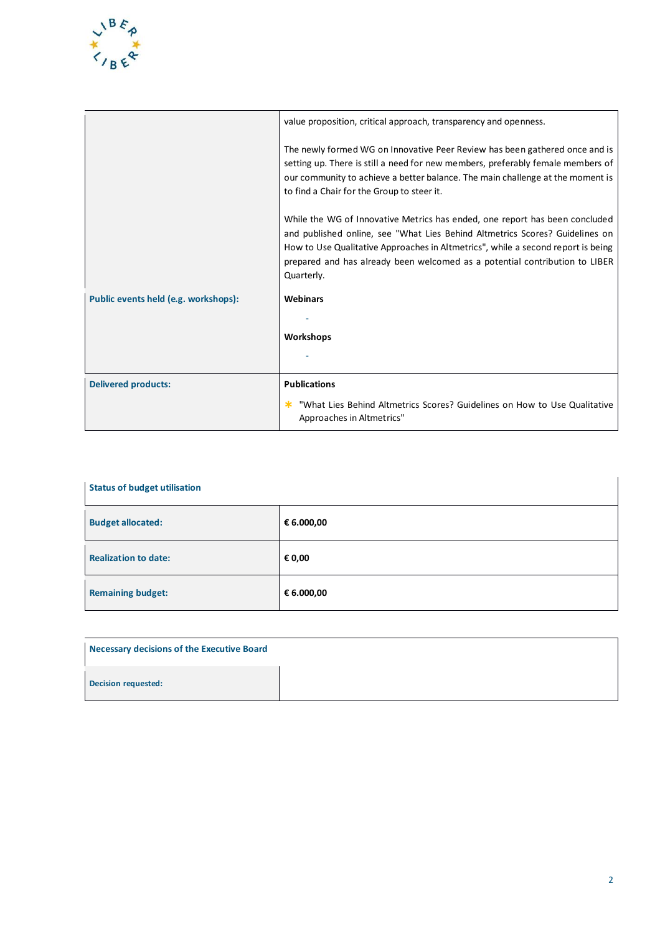

|                                      | value proposition, critical approach, transparency and openness.                                                                                                                                                                                                                                                                             |
|--------------------------------------|----------------------------------------------------------------------------------------------------------------------------------------------------------------------------------------------------------------------------------------------------------------------------------------------------------------------------------------------|
|                                      | The newly formed WG on Innovative Peer Review has been gathered once and is<br>setting up. There is still a need for new members, preferably female members of<br>our community to achieve a better balance. The main challenge at the moment is<br>to find a Chair for the Group to steer it.                                               |
|                                      | While the WG of Innovative Metrics has ended, one report has been concluded<br>and published online, see "What Lies Behind Altmetrics Scores? Guidelines on<br>How to Use Qualitative Approaches in Altmetrics", while a second report is being<br>prepared and has already been welcomed as a potential contribution to LIBER<br>Quarterly. |
| Public events held (e.g. workshops): | <b>Webinars</b>                                                                                                                                                                                                                                                                                                                              |
|                                      |                                                                                                                                                                                                                                                                                                                                              |
|                                      | <b>Workshops</b>                                                                                                                                                                                                                                                                                                                             |
|                                      |                                                                                                                                                                                                                                                                                                                                              |
| <b>Delivered products:</b>           | <b>Publications</b>                                                                                                                                                                                                                                                                                                                          |
|                                      | "What Lies Behind Altmetrics Scores? Guidelines on How to Use Qualitative<br>Approaches in Altmetrics"                                                                                                                                                                                                                                       |

| <b>Status of budget utilisation</b> |            |  |
|-------------------------------------|------------|--|
| <b>Budget allocated:</b>            | € 6.000,00 |  |
| <b>Realization to date:</b>         | € 0,00     |  |
| <b>Remaining budget:</b>            | € 6.000,00 |  |

| Necessary decisions of the Executive Board |  |
|--------------------------------------------|--|
| <b>Decision requested:</b>                 |  |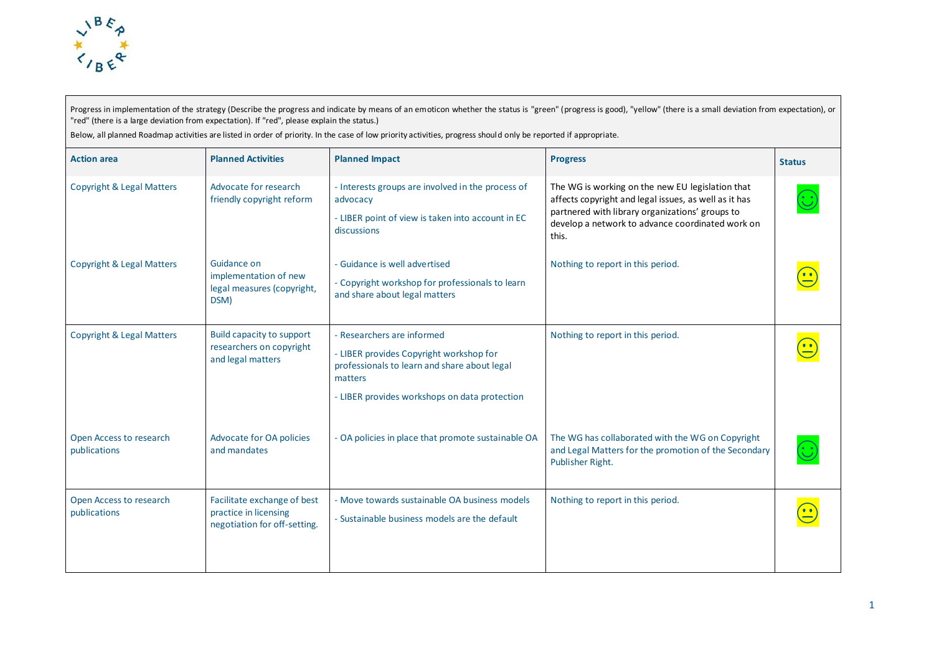

Progress in implementation of the strategy (Describe the progress and indicate by means of an emoticon whether the status is "green" (progress is good), "yellow" (there is a small deviation from expectation), or "red" (there is a large deviation from expectation). If "red", please explain the status.)

Below, all planned Roadmap activities are listed in order of priority. In the case of low priority activities, progress should only be reported if appropriate.

| <b>Action area</b>                      | <b>Planned Activities</b>                                                            | <b>Planned Impact</b>                                                                                                                                                             | <b>Progress</b>                                                                                                                                                                                                           | <b>Status</b> |
|-----------------------------------------|--------------------------------------------------------------------------------------|-----------------------------------------------------------------------------------------------------------------------------------------------------------------------------------|---------------------------------------------------------------------------------------------------------------------------------------------------------------------------------------------------------------------------|---------------|
| <b>Copyright &amp; Legal Matters</b>    | Advocate for research<br>friendly copyright reform                                   | - Interests groups are involved in the process of<br>advocacy<br>- LIBER point of view is taken into account in EC<br>discussions                                                 | The WG is working on the new EU legislation that<br>affects copyright and legal issues, as well as it has<br>partnered with library organizations' groups to<br>develop a network to advance coordinated work on<br>this. |               |
| <b>Copyright &amp; Legal Matters</b>    | Guidance on<br>implementation of new<br>legal measures (copyright,<br>DSM)           | - Guidance is well advertised<br>- Copyright workshop for professionals to learn<br>and share about legal matters                                                                 | Nothing to report in this period.                                                                                                                                                                                         |               |
| <b>Copyright &amp; Legal Matters</b>    | Build capacity to support<br>researchers on copyright<br>and legal matters           | - Researchers are informed<br>- LIBER provides Copyright workshop for<br>professionals to learn and share about legal<br>matters<br>- LIBER provides workshops on data protection | Nothing to report in this period.                                                                                                                                                                                         |               |
| Open Access to research<br>publications | <b>Advocate for OA policies</b><br>and mandates                                      | - OA policies in place that promote sustainable OA                                                                                                                                | The WG has collaborated with the WG on Copyright<br>and Legal Matters for the promotion of the Secondary<br>Publisher Right.                                                                                              |               |
| Open Access to research<br>publications | Facilitate exchange of best<br>practice in licensing<br>negotiation for off-setting. | - Move towards sustainable OA business models<br>- Sustainable business models are the default                                                                                    | Nothing to report in this period.                                                                                                                                                                                         |               |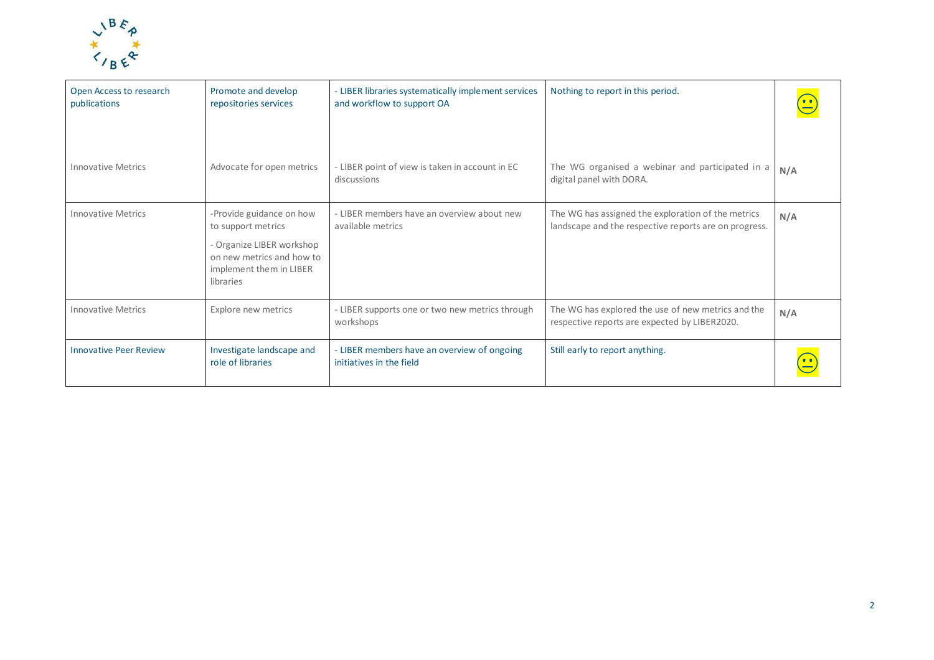

| Open Access to research<br>publications | Promote and develop<br>repositories services                                                                                                     | <b>LIBER libraries systematically implement services</b><br>and workflow to support OA | Nothing to report in this period.                                                                           |     |
|-----------------------------------------|--------------------------------------------------------------------------------------------------------------------------------------------------|----------------------------------------------------------------------------------------|-------------------------------------------------------------------------------------------------------------|-----|
| <b>Innovative Metrics</b>               | Advocate for open metrics                                                                                                                        | LIBER point of view is taken in account in EC<br>discussions                           | The WG organised a webinar and participated in a<br>digital panel with DORA.                                | N/A |
| <b>Innovative Metrics</b>               | -Provide guidance on how<br>to support metrics<br>- Organize LIBER workshop<br>on new metrics and how to<br>implement them in LIBER<br>libraries | - LIBER members have an overview about new<br>available metrics                        | The WG has assigned the exploration of the metrics<br>landscape and the respective reports are on progress. | N/A |
| <b>Innovative Metrics</b>               | Explore new metrics                                                                                                                              | LIBER supports one or two new metrics through<br>workshops                             | The WG has explored the use of new metrics and the<br>respective reports are expected by LIBER2020.         | N/A |
| <b>Innovative Peer Review</b>           | Investigate landscape and<br>role of libraries                                                                                                   | - LIBER members have an overview of ongoing<br>initiatives in the field                | Still early to report anything.                                                                             |     |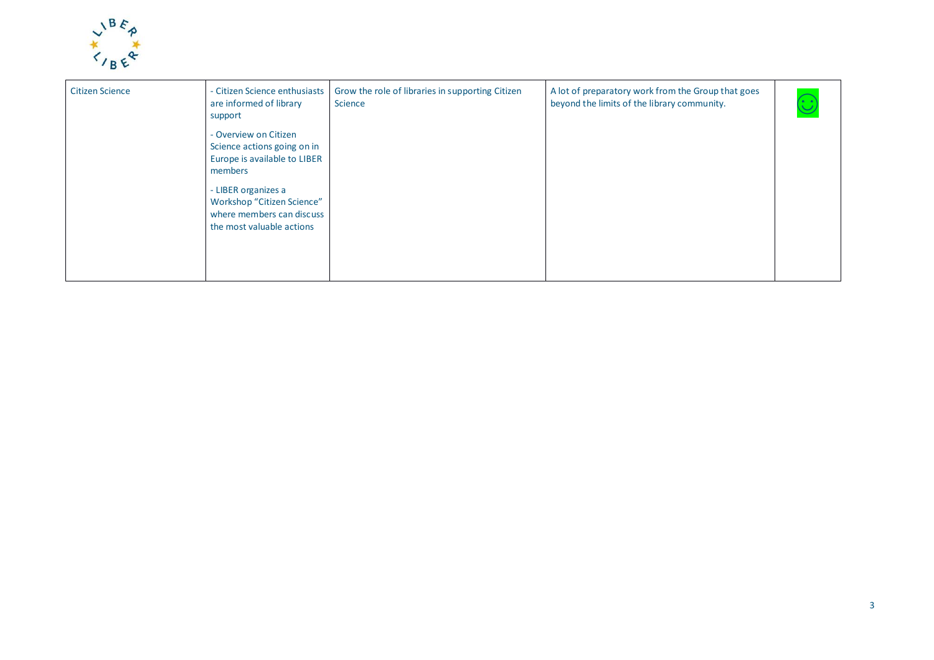

| <b>Citizen Science</b> | - Citizen Science enthusiasts<br>are informed of library<br>support                                         | Grow the role of libraries in supporting Citizen<br>Science | A lot of preparatory work from the Group that goes<br>beyond the limits of the library community. |  |
|------------------------|-------------------------------------------------------------------------------------------------------------|-------------------------------------------------------------|---------------------------------------------------------------------------------------------------|--|
|                        | - Overview on Citizen<br>Science actions going on in<br>Europe is available to LIBER<br>members             |                                                             |                                                                                                   |  |
|                        | - LIBER organizes a<br>Workshop "Citizen Science"<br>where members can discuss<br>the most valuable actions |                                                             |                                                                                                   |  |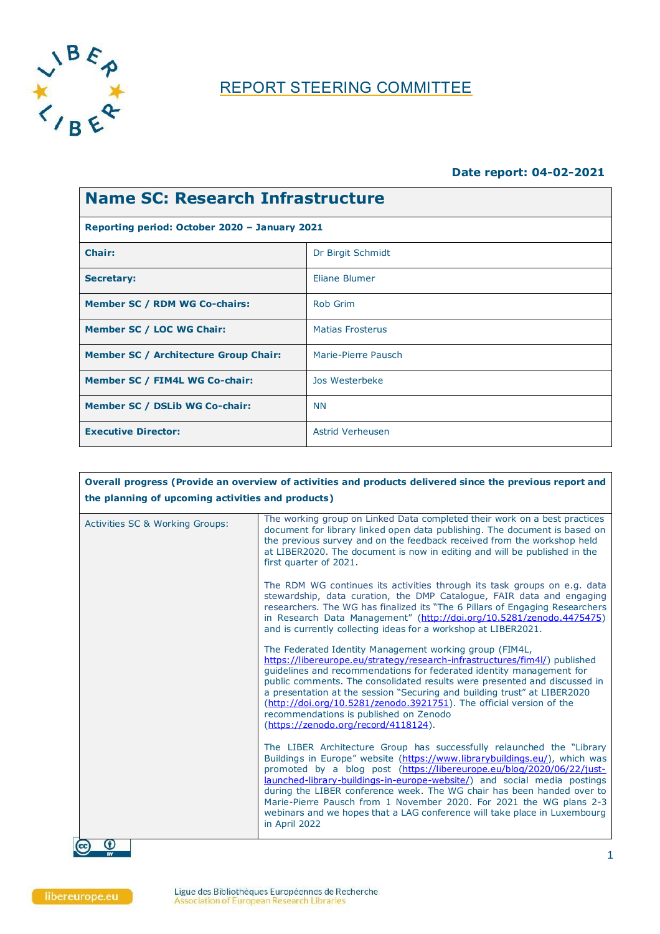

# REPORT STEERING COMMITTEE

#### **Date report: 04-02-2021**

| Name SC: Research Infrastructure              |                         |  |  |
|-----------------------------------------------|-------------------------|--|--|
| Reporting period: October 2020 - January 2021 |                         |  |  |
| <b>Chair:</b>                                 | Dr Birgit Schmidt       |  |  |
| <b>Secretary:</b>                             | Eliane Blumer           |  |  |
| <b>Member SC / RDM WG Co-chairs:</b>          | Rob Grim                |  |  |
| Member SC / LOC WG Chair:                     | <b>Matias Frosterus</b> |  |  |
| <b>Member SC / Architecture Group Chair:</b>  | Marie-Pierre Pausch     |  |  |
| Member SC / FIM4L WG Co-chair:                | Jos Westerbeke          |  |  |
| Member SC / DSLib WG Co-chair:                | <b>NN</b>               |  |  |
| <b>Executive Director:</b>                    | Astrid Verheusen        |  |  |

| Overall progress (Provide an overview of activities and products delivered since the previous report and<br>the planning of upcoming activities and products) |                                                                                                                                                                                                                                                                                                                                                                                                                                                                                                                                                         |  |  |
|---------------------------------------------------------------------------------------------------------------------------------------------------------------|---------------------------------------------------------------------------------------------------------------------------------------------------------------------------------------------------------------------------------------------------------------------------------------------------------------------------------------------------------------------------------------------------------------------------------------------------------------------------------------------------------------------------------------------------------|--|--|
| Activities SC & Working Groups:                                                                                                                               | The working group on Linked Data completed their work on a best practices<br>document for library linked open data publishing. The document is based on<br>the previous survey and on the feedback received from the workshop held<br>at LIBER2020. The document is now in editing and will be published in the<br>first quarter of 2021.                                                                                                                                                                                                               |  |  |
|                                                                                                                                                               | The RDM WG continues its activities through its task groups on e.g. data<br>stewardship, data curation, the DMP Catalogue, FAIR data and engaging<br>researchers. The WG has finalized its "The 6 Pillars of Engaging Researchers<br>in Research Data Management" (http://doi.org/10.5281/zenodo.4475475)<br>and is currently collecting ideas for a workshop at LIBER2021.                                                                                                                                                                             |  |  |
|                                                                                                                                                               | The Federated Identity Management working group (FIM4L,<br>https://libereurope.eu/strategy/research-infrastructures/fim4l/) published<br>guidelines and recommendations for federated identity management for<br>public comments. The consolidated results were presented and discussed in<br>a presentation at the session "Securing and building trust" at LIBER2020<br>(http://doi.org/10.5281/zenodo.3921751). The official version of the<br>recommendations is published on Zenodo<br>(https://zenodo.org/record/4118124).                        |  |  |
|                                                                                                                                                               | The LIBER Architecture Group has successfully relaunched the "Library<br>Buildings in Europe" website (https://www.librarybuildings.eu/), which was<br>promoted by a blog post (https://libereurope.eu/blog/2020/06/22/just-<br>launched-library-buildings-in-europe-website/) and social media postings<br>during the LIBER conference week. The WG chair has been handed over to<br>Marie-Pierre Pausch from 1 November 2020. For 2021 the WG plans 2-3<br>webinars and we hopes that a LAG conference will take place in Luxembourg<br>in April 2022 |  |  |
| O<br>BY                                                                                                                                                       |                                                                                                                                                                                                                                                                                                                                                                                                                                                                                                                                                         |  |  |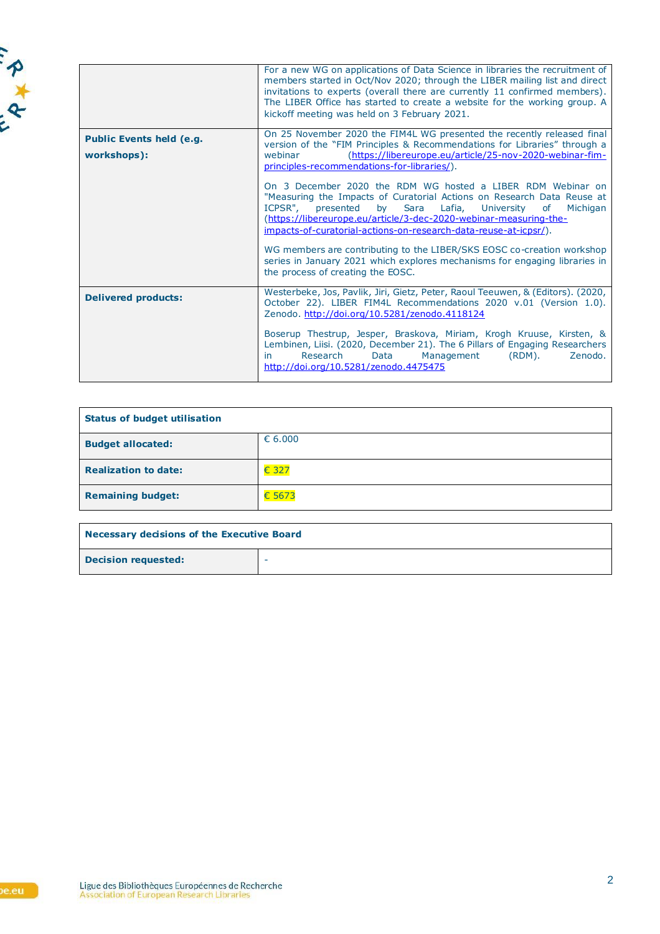

|                                                | For a new WG on applications of Data Science in libraries the recruitment of<br>members started in Oct/Nov 2020; through the LIBER mailing list and direct<br>invitations to experts (overall there are currently 11 confirmed members).<br>The LIBER Office has started to create a website for the working group. A<br>kickoff meeting was held on 3 February 2021.                                                                                                                                                                                                                                                                                                                                                                                                                                                                    |
|------------------------------------------------|------------------------------------------------------------------------------------------------------------------------------------------------------------------------------------------------------------------------------------------------------------------------------------------------------------------------------------------------------------------------------------------------------------------------------------------------------------------------------------------------------------------------------------------------------------------------------------------------------------------------------------------------------------------------------------------------------------------------------------------------------------------------------------------------------------------------------------------|
| <b>Public Events held (e.g.</b><br>workshops): | On 25 November 2020 the FIM4L WG presented the recently released final<br>version of the "FIM Principles & Recommendations for Libraries" through a<br>(https://libereurope.eu/article/25-nov-2020-webinar-fim-<br>webinar<br>principles-recommendations-for-libraries/).<br>On 3 December 2020 the RDM WG hosted a LIBER RDM Webinar on<br>"Measuring the Impacts of Curatorial Actions on Research Data Reuse at<br>ICPSR",<br>presented<br>Sara<br>Lafia,<br>University<br>by<br>of<br>Michigan<br>(https://libereurope.eu/article/3-dec-2020-webinar-measuring-the-<br>impacts-of-curatorial-actions-on-research-data-reuse-at-icpsr/).<br>WG members are contributing to the LIBER/SKS EOSC co-creation workshop<br>series in January 2021 which explores mechanisms for engaging libraries in<br>the process of creating the EOSC. |
| <b>Delivered products:</b>                     | Westerbeke, Jos, Pavlik, Jiri, Gietz, Peter, Raoul Teeuwen, & (Editors). (2020,<br>October 22). LIBER FIM4L Recommendations 2020 v.01 (Version 1.0).<br>Zenodo. http://doi.org/10.5281/zenodo.4118124<br>Boserup Thestrup, Jesper, Braskova, Miriam, Krogh Kruuse, Kirsten, &<br>Lembinen, Liisi. (2020, December 21). The 6 Pillars of Engaging Researchers<br>Research<br>Data<br>Management<br>$(RDM)$ .<br>Zenodo.<br>in<br>http://doi.org/10.5281/zenodo.4475475                                                                                                                                                                                                                                                                                                                                                                    |

| <b>Status of budget utilisation</b> |        |
|-------------------------------------|--------|
| <b>Budget allocated:</b>            | 6.000  |
| <b>Realization to date:</b>         | € 327  |
| <b>Remaining budget:</b>            | € 5673 |

| Necessary decisions of the Executive Board |   |
|--------------------------------------------|---|
| <b>Decision requested:</b>                 | - |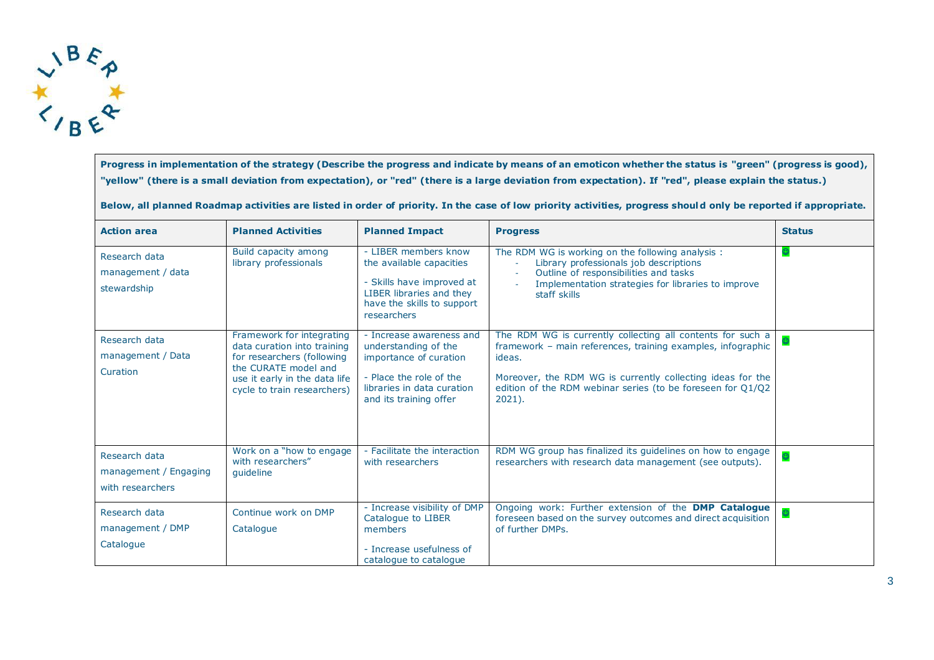

**Progress in implementation of the strategy (Describe the progress and indicate by means of an emoticon whether the status is "green" (progress is good), "yellow" (there is a small deviation from expectation), or "red" (there is a large deviation from expectation). If "red", please explain the status.)**

**Below, all planned Roadmap activities are listed in order of priority. In the case of low priority activities, progress should only be reported if appropriate.**

| <b>Action area</b>                                         | <b>Planned Activities</b>                                                                                                                                                      | <b>Planned Impact</b>                                                                                                                                         | <b>Progress</b>                                                                                                                                                                                                                                                               | <b>Status</b> |
|------------------------------------------------------------|--------------------------------------------------------------------------------------------------------------------------------------------------------------------------------|---------------------------------------------------------------------------------------------------------------------------------------------------------------|-------------------------------------------------------------------------------------------------------------------------------------------------------------------------------------------------------------------------------------------------------------------------------|---------------|
| Research data<br>management / data<br>stewardship          | Build capacity among<br>library professionals                                                                                                                                  | - LIBER members know<br>the available capacities<br>- Skills have improved at<br>LIBER libraries and they<br>have the skills to support<br>researchers        | The RDM WG is working on the following analysis :<br>Library professionals job descriptions<br>Outline of responsibilities and tasks<br>Implementation strategies for libraries to improve<br>staff skills                                                                    |               |
| Research data<br>management / Data<br>Curation             | Framework for integrating<br>data curation into training<br>for researchers (following<br>the CURATE model and<br>use it early in the data life<br>cycle to train researchers) | - Increase awareness and<br>understanding of the<br>importance of curation<br>- Place the role of the<br>libraries in data curation<br>and its training offer | The RDM WG is currently collecting all contents for such a<br>framework - main references, training examples, infographic<br>ideas.<br>Moreover, the RDM WG is currently collecting ideas for the<br>edition of the RDM webinar series (to be foreseen for 01/02<br>$2021$ ). |               |
| Research data<br>management / Engaging<br>with researchers | Work on a "how to engage<br>with researchers"<br>quideline                                                                                                                     | - Facilitate the interaction<br>with researchers                                                                                                              | RDM WG group has finalized its guidelines on how to engage<br>researchers with research data management (see outputs).                                                                                                                                                        |               |
| Research data<br>management / DMP<br>Catalogue             | Continue work on DMP<br>Catalogue                                                                                                                                              | - Increase visibility of DMP<br>Catalogue to LIBER<br>members<br>- Increase usefulness of<br>catalogue to catalogue                                           | Ongoing work: Further extension of the DMP Catalogue<br>foreseen based on the survey outcomes and direct acquisition<br>of further DMPs.                                                                                                                                      |               |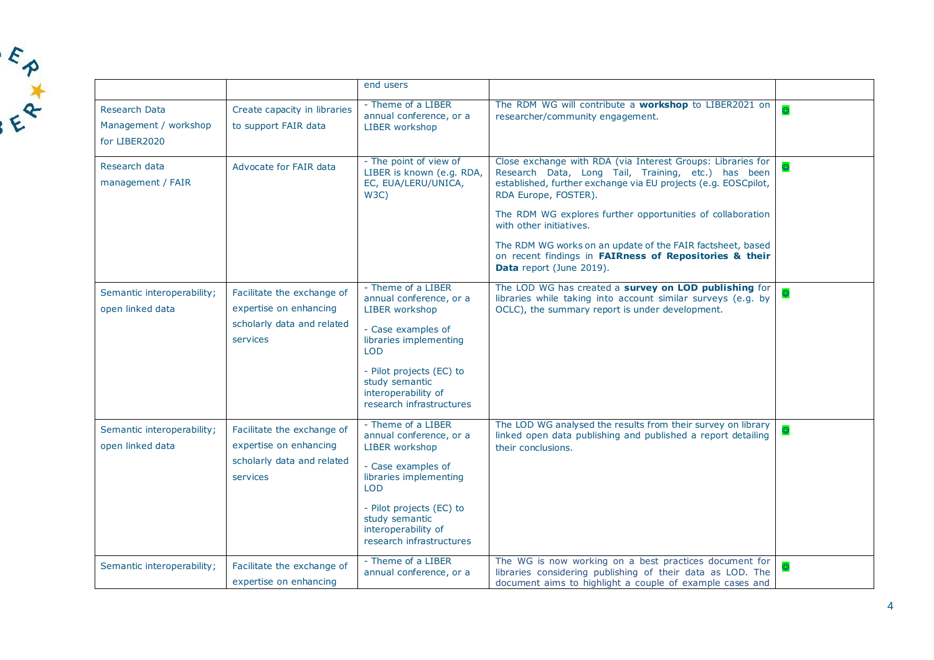

|                                                         |                                                                                                | end users                                                                                                                                                                                                                      |                                                                                                                                                                                                                                                                                                                                                                                                                                                          |  |
|---------------------------------------------------------|------------------------------------------------------------------------------------------------|--------------------------------------------------------------------------------------------------------------------------------------------------------------------------------------------------------------------------------|----------------------------------------------------------------------------------------------------------------------------------------------------------------------------------------------------------------------------------------------------------------------------------------------------------------------------------------------------------------------------------------------------------------------------------------------------------|--|
| Research Data<br>Management / workshop<br>for LIBER2020 | Create capacity in libraries<br>to support FAIR data                                           | - Theme of a LIBER<br>annual conference, or a<br>LIBER workshop                                                                                                                                                                | The RDM WG will contribute a workshop to LIBER2021 on<br>researcher/community engagement.                                                                                                                                                                                                                                                                                                                                                                |  |
| Research data<br>management / FAIR                      | Advocate for FAIR data                                                                         | - The point of view of<br>LIBER is known (e.g. RDA,<br>EC, EUA/LERU/UNICA,<br>W3C)                                                                                                                                             | Close exchange with RDA (via Interest Groups: Libraries for<br>Research Data, Long Tail, Training, etc.) has been<br>established, further exchange via EU projects (e.g. EOSCpilot,<br>RDA Europe, FOSTER).<br>The RDM WG explores further opportunities of collaboration<br>with other initiatives.<br>The RDM WG works on an update of the FAIR factsheet, based<br>on recent findings in FAIRness of Repositories & their<br>Data report (June 2019). |  |
| Semantic interoperability;<br>open linked data          | Facilitate the exchange of<br>expertise on enhancing<br>scholarly data and related<br>services | - Theme of a LIBER<br>annual conference, or a<br>LIBER workshop<br>- Case examples of<br>libraries implementing<br><b>LOD</b><br>- Pilot projects (EC) to<br>study semantic<br>interoperability of<br>research infrastructures | The LOD WG has created a survey on LOD publishing for<br>libraries while taking into account similar surveys (e.g. by<br>OCLC), the summary report is under development.                                                                                                                                                                                                                                                                                 |  |
| Semantic interoperability;<br>open linked data          | Facilitate the exchange of<br>expertise on enhancing<br>scholarly data and related<br>services | - Theme of a LIBER<br>annual conference, or a<br>LIBER workshop<br>- Case examples of<br>libraries implementing<br><b>LOD</b><br>- Pilot projects (EC) to<br>study semantic<br>interoperability of<br>research infrastructures | The LOD WG analysed the results from their survey on library<br>linked open data publishing and published a report detailing<br>their conclusions.                                                                                                                                                                                                                                                                                                       |  |
| Semantic interoperability;                              | Facilitate the exchange of<br>expertise on enhancing                                           | - Theme of a LIBER<br>annual conference, or a                                                                                                                                                                                  | The WG is now working on a best practices document for<br>libraries considering publishing of their data as LOD. The<br>document aims to highlight a couple of example cases and                                                                                                                                                                                                                                                                         |  |